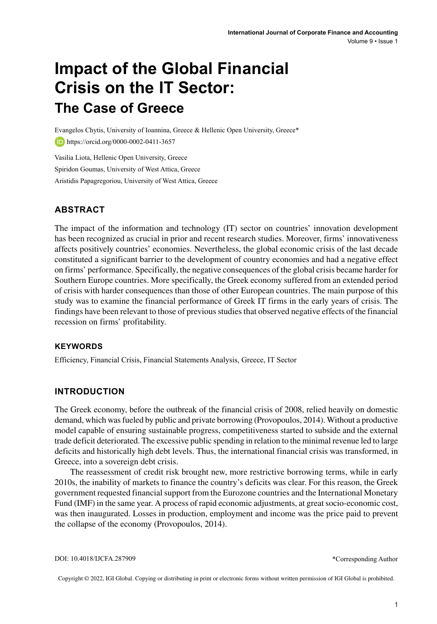# **Impact of the Global Financial Crisis on the IT Sector: The Case of Greece**

Evangelos Chytis, University of Ioannina, Greece & Hellenic Open University, Greece\* https://orcid.org/0000-0002-0411-3657

Vasilia Liota, Hellenic Open University, Greece Spiridon Goumas, University of West Attica, Greece Aristidis Papagregoriou, University of West Attica, Greece

## **ABSTRACT**

The impact of the information and technology (IT) sector on countries' innovation development has been recognized as crucial in prior and recent research studies. Moreover, firms' innovativeness affects positively countries' economies. Nevertheless, the global economic crisis of the last decade constituted a significant barrier to the development of country economies and had a negative effect on firms' performance. Specifically, the negative consequences of the global crisis became harder for Southern Europe countries. More specifically, the Greek economy suffered from an extended period of crisis with harder consequences than those of other European countries. The main purpose of this study was to examine the financial performance of Greek IT firms in the early years of crisis. The findings have been relevant to those of previous studies that observed negative effects of the financial recession on firms' profitability.

#### **Keywords**

Efficiency, Financial Crisis, Financial Statements Analysis, Greece, IT Sector

#### **INTRODUCTION**

The Greek economy, before the outbreak of the financial crisis of 2008, relied heavily on domestic demand, which wasfueled by public and private borrowing (Provopoulos, 2014). Without a productive model capable of ensuring sustainable progress, competitiveness started to subside and the external trade deficit deteriorated. The excessive public spending in relation to the minimal revenue led to large deficits and historically high debt levels. Thus, the international financial crisis was transformed, in Greece, into a sovereign debt crisis.

The reassessment of credit risk brought new, more restrictive borrowing terms, while in early 2010s, the inability of markets to finance the country's deficits was clear. For this reason, the Greek government requested financial support from the Eurozone countries and the International Monetary Fund (IMF) in the same year. A process of rapid economic adjustments, at greatsocio-economic cost, was then inaugurated. Losses in production, employment and income was the price paid to prevent the collapse of the economy (Provopoulos, 2014).

\*Corresponding Author

Copyright © 2022, IGI Global. Copying or distributing in print or electronic forms without written permission of IGI Global is prohibited.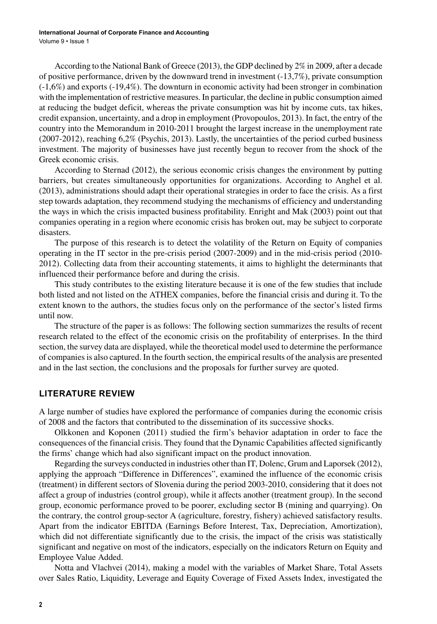According to the National Bank of Greece (2013), the GDP declined by 2% in 2009, after a decade of positive performance, driven by the downward trend in investment (-13,7%), private consumption (-1,6%) and exports (-19,4%). The downturn in economic activity had been stronger in combination with the implementation of restrictive measures. In particular, the decline in public consumption aimed at reducing the budget deficit, whereas the private consumption was hit by income cuts, tax hikes, credit expansion, uncertainty, and a drop in employment (Provopoulos, 2013). In fact, the entry of the country into the Memorandum in 2010-2011 brought the largest increase in the unemployment rate (2007-2012), reaching 6,2% (Psychis, 2013). Lastly, the uncertainties of the period curbed business investment. The majority of businesses have just recently begun to recover from the shock of the Greek economic crisis.

According to Sternad (2012), the serious economic crisis changes the environment by putting barriers, but creates simultaneously opportunities for organizations. According to Anghel et al. (2013), administrations should adapt their operational strategies in order to face the crisis. As a first step towards adaptation, they recommend studying the mechanisms of efficiency and understanding the ways in which the crisis impacted business profitability. Enright and Mak (2003) point out that companies operating in a region where economic crisis has broken out, may be subject to corporate disasters.

The purpose of this research is to detect the volatility of the Return on Equity of companies operating in the IT sector in the pre-crisis period (2007-2009) and in the mid-crisis period (2010- 2012). Collecting data from their accounting statements, it aims to highlight the determinants that influenced their performance before and during the crisis.

This study contributes to the existing literature because it is one of the few studies that include both listed and not listed on the ATHEX companies, before the financial crisis and during it. To the extent known to the authors, the studies focus only on the performance of the sector's listed firms until now.

The structure of the paper is as follows: The following section summarizes the results of recent research related to the effect of the economic crisis on the profitability of enterprises. In the third section, the survey data are displayed, while the theoretical model used to determine the performance of companiesis also captured. In the fourth section, the empirical results of the analysis are presented and in the last section, the conclusions and the proposals for further survey are quoted.

#### **LITERATURE REVIEW**

A large number of studies have explored the performance of companies during the economic crisis of 2008 and the factors that contributed to the dissemination of its successive shocks.

Olkkonen and Koponen (2011) studied the firm's behavior adaptation in order to face the consequences of the financial crisis. They found that the Dynamic Capabilities affected significantly the firms' change which had also significant impact on the product innovation.

Regarding the surveys conducted in industries other than IT, Dolenc, Grum and Laporsek (2012), applying the approach "Difference in Differences", examined the influence of the economic crisis (treatment) in different sectors of Slovenia during the period 2003-2010, considering that it does not affect a group of industries (control group), while it affects another (treatment group). In the second group, economic performance proved to be poorer, excluding sector B (mining and quarrying). On the contrary, the control group-sector A (agriculture, forestry, fishery) achieved satisfactory results. Apart from the indicator EBITDA (Earnings Before Interest, Tax, Depreciation, Amortization), which did not differentiate significantly due to the crisis, the impact of the crisis was statistically significant and negative on most of the indicators, especially on the indicators Return on Equity and Employee Value Added.

Notta and Vlachvei (2014), making a model with the variables of Market Share, Total Assets over Sales Ratio, Liquidity, Leverage and Equity Coverage of Fixed Assets Index, investigated the